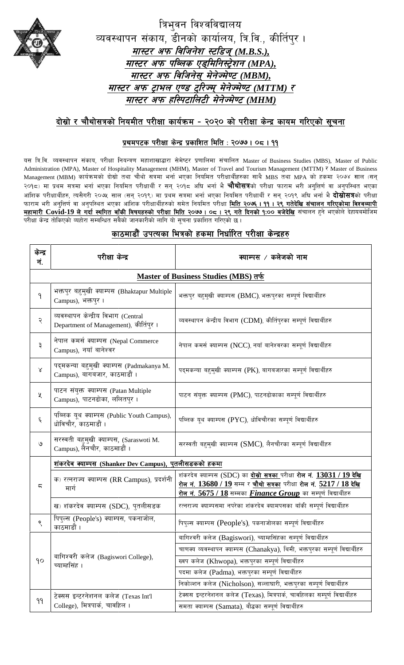

त्रिभुवन विश्वविद्यालय Tang निभावन विश्वविद्यालय<br>व्यवस्थापन संकाय, डीनको कार्यालय, त्रि.वि., कीर्तिपुर । *df:6/ ckm ljlhg]z :6l8h\(M.B.S.), df:6/ ckm klAns P8\ldlg:6«]zg (MPA), df:6/ ckm ljlhg];\d]g]Hd]06 (MBM), df:6/ ckm 6«fen P08 6'l/Hd\d]g]Hd]06 (MTTM) /* <u>र अफ ट्राभल एण्ड ट्रारज्म् मनज्मण्ट (MTTM) र</u><br><u>मास्टर अफ हस्पिटालिटी मेनेज्मेण्ट (MHM)</u>

## <u>दोस्रो र चौथोसत्रको नियमीत परीक्षा कार्यक्रम - २०२० को परीक्षा केन्द्र कायम गरिएको सूचना</u>

## **k|ydk6s k/LIff s]Gb| k|sflzt ldlt M @)&& . )\* . !!**

यस त्रि.वि. व्यवस्थापन संकाय, परीक्षा नियन्त्रण महाशाखाद्धारा सेमेष्टर प्रणालिमा संचालित Master of Business Studies (MBS), Master of Public Administration (MPA), Master of Hospitality Management (MHM), Master of Travel and Tourism Management (MTTM) ₹ Master of Business Management (MBM) कार्यक्रमको दोस्रो तथा चौथो सत्रमा भर्ना भएका नियमित परीक्षार्थीहरुका साथै MBS तथा MPA को हकमा २०७४ साल (सन्<br>२०१८) मा प्रथम सत्रमा भर्ना भएका नियमित परीक्षार्थी र सन् २०१८ अघि भर्ना भै **चौथोसत्र**को परीक्ष आंशिक परीक्षार्थीहरु, त्यसैगरी २०७५ साल (सन् २०१९) मा प्रथम सत्रमा भर्ना भएका नियमित परीक्षार्थी र सन् २०१९ अघि भर्ना भै **दोस्रोसत्र**को परीक्षा २०१८) मा प्रथम सत्रमा भर्ना भएका नियमित परीक्षार्थी र सन् २०१८ अघि भर्ना भै **चौथोसत्र**को परीक्षा फाराम भरी अनुत्तिर्ण वा अनुपस्थित भएका<br>आंशिक परीक्षार्थीहरु, त्यसैगरी २०७५ साल (सन् २०१९) मा प्रथम सत्रमा भर्ना भएका नियमित <mark>महामारी Covid-19 ले गर्दा स्थगित बाँकी विषयहरुको परीक्षा मिति २०७७ । ०८ । २९ गते दिनको १:०० बजेदेखि संचालन हुने भएकोले देहायबमोजिम</mark> परीक्षा केन्द्र तोकिएको व्यहोरा सम्बन्धित सबैको जानकारीको लागि यो सूचना प्रकाशित गरिएको छ। Management (MBM) कार्यक्रमको दोस्रो तथा चौथो सत्रमा भर्ना भएका नियमित परीक्षार्थीहरुका साथै MBS तथा MPA को हकमा २०७४ साल (सन्

| केन्द्र<br>नं.                               | परीक्षा केन्द्र                                                               | क्याम्पस / कलेजको नाम                                                                                                                                                                                                                    |  |  |
|----------------------------------------------|-------------------------------------------------------------------------------|------------------------------------------------------------------------------------------------------------------------------------------------------------------------------------------------------------------------------------------|--|--|
| <u>Master of Business Studies (MBS) तर्फ</u> |                                                                               |                                                                                                                                                                                                                                          |  |  |
| ۹                                            | भक्तपुर बहुमुखी क्याम्पस (Bhaktapur Multiple<br>Campus), भक्तपुर ।            | भक्तपुर बहमुखी क्याम्पस (BMC), भक्तपुरका सम्पूर्ण विद्यार्थीहरु                                                                                                                                                                          |  |  |
| २                                            | व्यवस्थापन केन्द्रीय विभाग (Central<br>Department of Management), कीर्तिपुर । | व्यवस्थापन केन्द्रीय विभाग (CDM), कीर्तिप्रका सम्पूर्ण विद्यार्थीहरु                                                                                                                                                                     |  |  |
| ३                                            | नेपाल कमर्स क्याम्पस (Nepal Commerce<br>Campus), नयाँ बानेश्वर                | नेपाल कमर्स क्याम्पस (NCC), नयाँ बानेश्वरका सम्पूर्ण विद्यार्थीहरु                                                                                                                                                                       |  |  |
| $\lambda$                                    | पद्मकन्या बहुमुखी क्याम्पस (Padmakanya M.<br>Campus), बागबजार, काठमाडौं ।     | पद्मकन्या बहम्खी क्याम्पस (PK), बागबजारका सम्पूर्ण विद्यार्थीहरु                                                                                                                                                                         |  |  |
| χ                                            | पाटन संयुक्त क्याम्पस (Patan Multiple<br>Campus), पाटनढोका, ललितपुर ।         | पाटन संयुक्त क्याम्पस (PMC), पाटनढोकाका सम्पूर्ण विद्यार्थीहरु                                                                                                                                                                           |  |  |
| ६                                            | पब्लिक यूथ क्याम्पस (Public Youth Campus),<br>धोविचौर, काठमाडौं ।             | पब्लिक यूथ क्याम्पस (PYC), धोविचौरका सम्पूर्ण विद्यार्थीहरु                                                                                                                                                                              |  |  |
| ৩                                            | सरस्वती बहुमुखी क्याम्पस, (Saraswoti M.<br>Campus), लैनचौर, काठमाडौं ।        | सरस्वती बहम्खी क्याम्पस (SMC), लैनचौरका सम्पूर्ण विद्यार्थीहरु                                                                                                                                                                           |  |  |
|                                              | शंकरदेव क्याम्पस (Shanker Dev Campus), पुतलीसडकको हकमा                        |                                                                                                                                                                                                                                          |  |  |
| ς                                            | क) रत्नराज्य क्याम्पस (RR Campus), प्रदर्शनी<br>मार्ग                         | शंकरदेव क्याम्पस (SDC) का <b>दोस्रो सत्रका</b> परीक्षा <b>रोल नं. 13031 / 19 देखि</b><br>रोल नं. 13680 / 19 सम्म र चौथो सत्रका परीक्षा रोल नं. 5217 / 18 देखि<br>रोल नं. 5675 / 18 सम्मका <i>Finance Group</i> का सम्पूर्ण विद्यार्थीहरु |  |  |
|                                              | ख) शंकरदेव क्याम्पस (SDC), पुतलीसडक                                           | रत्नराज्य क्याम्पसमा नपरेका शंकरदेव क्यामपसका बाँकी सम्पूर्ण विद्यार्थीहरु                                                                                                                                                               |  |  |
| ९                                            | पिपुल्स (People's) क्याम्पस, पकनाजोल,<br>काठमाडौं ।                           | पिपुल्स क्याम्पस (People's), पकनाजोलका सम्पूर्ण विद्यार्थीहरु                                                                                                                                                                            |  |  |
|                                              | बागिश्वरी कलेज (Bagiswori College),<br>च्याम्हसिंह ।                          | बागिश्वरी कलेज (Bagiswori), च्याम्हसिंहका सम्पूर्ण विद्यार्थीहरु                                                                                                                                                                         |  |  |
|                                              |                                                                               | चाणक्य व्यवस्थापन क्याम्पस (Chanakya), थिमी, भक्तपुरका सम्पूर्ण विद्यार्थीहरु                                                                                                                                                            |  |  |
| 90                                           |                                                                               | ख्वप कलेज (Khwopa), भक्तपुरका सम्पूर्ण विद्यार्थीहरु                                                                                                                                                                                     |  |  |
|                                              |                                                                               | पदमा कलेज (Padma), भक्तपुरका सम्पूर्ण विद्यार्थीहरु                                                                                                                                                                                      |  |  |
|                                              |                                                                               | निकोल्शन कलेज (Nicholson), सल्लाघारी, भक्तपुरका सम्पूर्ण विद्यार्थीहरु                                                                                                                                                                   |  |  |
| 99                                           | टेक्सस इन्टरनेशनल कलेज (Texas Int'l<br>College), मित्रपार्क, चावहिल ।         | टेक्सस इन्टरनेशनल कलेज (Texas), मित्रपार्क, चावहिलका सम्पूर्ण विद्यार्थीहरु                                                                                                                                                              |  |  |
|                                              |                                                                               | समता क्याम्पस (Samata), बौद्धका सम्पूर्ण विद्यार्थीहरु                                                                                                                                                                                   |  |  |

## काठमाडौँ उपत्यका भित्रको हकमा निर्धारित परीक्षा केन्द्रहर<u>ु</u>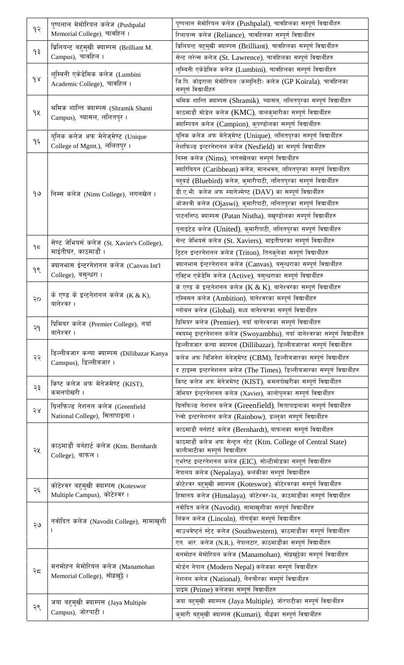|           | पुष्पलाल मेमोरियल कलेज (Pushpalal                                                    | पुष्पलाल मेमोरियल कलेज (Pushpalal), चावहिलका सम्पूर्ण विद्यार्थीहरु                                                                             |
|-----------|--------------------------------------------------------------------------------------|-------------------------------------------------------------------------------------------------------------------------------------------------|
| १२        | Memorial College), चावहिल ।                                                          | रिलायन्स कलेज (Reliance), चावहिलका सम्पूर्ण विद्यार्थीहरु                                                                                       |
| ۹३        | ब्रिलियन्ट बहुमुखी क्याम्पस (Brilliant M.<br>Campus), चावहिल ।                       | ब्रिलियन्ट बहुमुखी क्याम्पस (Brilliant), चावहिलका सम्पूर्ण विद्यार्थीहरु                                                                        |
|           |                                                                                      | सेन्ट लरेन्स कलेज (St. Lawrence), चावहिलका सम्पूर्ण विद्यार्थीहरु                                                                               |
|           | लुम्बिनी एकेडेमिक कलेज (Lumbini                                                      | लुम्बिनी एकेडेमिक कलेज (Lumbini), चावहिलका सम्पूर्ण विद्यार्थीहरु                                                                               |
| $\gamma$  | Academic College), चावहिल ।                                                          | जि.पि. कोइराला मेमोरियल (कर्म्युनिटी) कलेज (GP Koirala), चावहिलका<br>सम्पूर्ण विद्यार्थीहरु                                                     |
|           | श्रमिक शान्ति क्याम्पस (Shramik Shanti<br>Campus), च्यासल, ललितप्र।                  | श्रमिक शान्ति क्याम्पस (Shramik), च्यासल, ललितपुरका सम्पूर्ण विद्यार्थीहरु                                                                      |
| gy        |                                                                                      | काठमाडौं मोडेल कलेज ( $\mathbf{KMC}$ ), बालकुमारीका सम्पूर्ण विद्यार्थीहरु                                                                      |
|           |                                                                                      | क्याम्पियन कलेज (Campion), कुपण्डोलका सम्पूर्ण विद्यार्थीहरु                                                                                    |
|           | युनिक कलेज अफ मेनेज्मेण्ट (Unique                                                    | युनिक कलेज अफ मेनेज्मेण्ट (Unique), ललितपुरका सम्पूर्ण विद्यार्थीहरु                                                                            |
| ۹६        | College of Mgmt.), ललितपुर ।                                                         | नेशफिल्ड इन्टरनेशनल कलेज (Nesfield) का सम्पूर्ण विद्यार्थीहरु                                                                                   |
|           | निम्स कलेज (Nims College), लगनखेल।                                                   | निम्स कलेज (Nims), लगनखेलका सम्पूर्ण विद्यार्थीहरु                                                                                              |
|           |                                                                                      | क्यारिबियन (Caribbean) कलेज, मानभवन, ललितपुरका सम्पूर्ण विद्यार्थीहरु                                                                           |
|           |                                                                                      | ब्लूबर्ड (Bluebird) कलेज, कुमारीपाटी, ललितपुरका सम्पूर्ण विद्यार्थीहरु                                                                          |
| $9^\circ$ |                                                                                      | डी.ए.भी. कलेज अफ म्यानेज्मेण्ट (DAV) का सम्पूर्ण विद्यार्थीहरु                                                                                  |
|           |                                                                                      | ओजश्वी कलेज (Ojaswi), कुमारीपाटी, ललितपुरका सम्पूर्ण विद्यार्थीहरु                                                                              |
|           |                                                                                      | पाटननिष्ठ क्याम्पस (Patan Nistha), बखुण्डोलका सम्पूर्ण विद्यार्थीहरु                                                                            |
|           |                                                                                      | युनाइटेड कलेज (United), कुमारीपाटी, ललितपुरका सम्पूर्ण विद्यार्थीहरु                                                                            |
|           | सेण्ट जेभियर्स कलेज (St. Xavier's College),                                          | सेन्ट जेभियर्स कलेज (St. Xaviers), माइतीघरका सम्पूर्ण विद्यार्थीहरु                                                                             |
| ۹≂        | माईतीघर, काठमाडौं ।<br>क्यानभास ईन्टरनेशनल कलेज (Canvas Int'l<br>College), बसुन्धरा। | ट्रिटन इन्टरनेशनल कलेज (Triton), तिनकुनेका सम्पूर्ण विद्यार्थीहरु                                                                               |
|           |                                                                                      | क्यानभास ईन्टरनेशनल कलेज (Canvas), बसुन्धराका सम्पूर्ण विद्यार्थीहरु                                                                            |
| 99        |                                                                                      | एक्टिभ एकेडेमि कलेज (Active), बसुन्धराका सम्पूर्ण विद्यार्थीहरु                                                                                 |
|           |                                                                                      | के एण्ड के इन्टनेशनल कलेज (K & K), बानेश्वरका सम्पूर्ण विद्यार्थीहरु                                                                            |
| २०        | के एण्ड के इन्टनेशनल कलेज $(K & K)$ ,<br>बानेश्वर ।                                  | एम्बिसन कलेज (Ambition), बानेश्वरका सम्पूर्ण विद्यार्थीहरु                                                                                      |
|           |                                                                                      | ग्लोबल कलेज (Global), मध्य बानेश्वरका सम्पूर्ण विद्यार्थीहरु                                                                                    |
|           | प्रिमियर कलेज (Premier College), नयाँ<br>बानेश्वर ।                                  | प्रिमियर कलेज (Premier), नयाँ बानेश्वरका सम्पूर्ण विद्यार्थीहरु                                                                                 |
| २१        |                                                                                      | स्वयम्भू इन्टरनेशनल कलेज (Swoyambhu), नयाँ बानेश्वरका सम्पूर्ण विद्यार्थीहरु                                                                    |
|           | डिल्लीबजार कन्या क्याम्पस (Dillibazar Kanya                                          | डिल्लीबजार कन्या क्याम्पस (Dillibazar), डिल्लीबजारका सम्पूर्ण विद्यार्थीहरु                                                                     |
| २२        |                                                                                      | कलेज अफ बिजिनेश मेनेज् <b>मेण्ट</b> (CBM), डिल्लीबजारका सम्पूर्ण विद्यार्थीहरु                                                                  |
|           | Camspus), डिल्लीबजार।                                                                |                                                                                                                                                 |
|           |                                                                                      | द टाइम्स इन्टरनेशनल कलेज (The Times), डिल्लीबजारका सम्पूर्ण विद्यार्थीहरु<br>किष्ट कलेज अफ मेनेजमेण्ट (KIST), कमलपोखरीका सम्पूर्ण विद्यार्थीहरु |
| २३        | किष्ट कलेज अफ मेनेजमेण्ट (KIST),<br>कमलपोखरी ।                                       |                                                                                                                                                 |
|           |                                                                                      | जेभियर ईन्टरनेशनल कलेज (Xavier), कालोपुलका सम्पूर्ण विद्यार्थीहरु                                                                               |
| २४        | ग्रिनफिल्ड नेशनल कलेज (Greenfield                                                    | ग्रिनफिल्ड नेशनल कलेज (Greenfield), सितापाइलाका सम्पूर्ण विद्यार्थीहरु                                                                          |
|           | National College), सितापाइला ।                                                       | रेन्वो इन्टरनेशनल कलेज (Rainbow), डल्लुका सम्पूर्ण विद्यार्थीहरु                                                                                |
|           | काठमाडौं बर्नहार्ट कलेज (Ktm. Bernhardt<br>College), बाफल।                           | काठमाडौं बर्नहार्ट कलेज (Bernhardt), बाफलका सम्पूर्ण विद्यार्थीहरु                                                                              |
| २५        |                                                                                      | काठमाडौं कलेज अफ सेन्ट्रल स्टेट (Ktm. College of Central State)<br>कालीमाटीका सम्पूर्ण विद्यार्थीहरु                                            |
|           |                                                                                      | एभरेष्ट इन्टरनेशनल कलेज (EIC), सोल्टीमोडका सम्पूर्ण विद्यार्थीहरु                                                                               |
|           |                                                                                      | नेपालय कलेज (Nepalaya), कलंकीका सम्पूर्ण विद्यार्थीहरु                                                                                          |
| २६        | कोटेश्वर बहुमुखी क्याम्पस (Koteswor<br>Multiple Campus), कोटेश्वर।                   | कोटेश्वर बहुमुखी क्याम्पस (Koteswor), कोटेश्वरका सम्पूर्ण विद्यार्थीहरु                                                                         |
|           |                                                                                      | हिमालय कलेज (Himalaya), कोटेश्वर-३५, काठमाडौंका सम्पूर्ण विद्यार्थीहरु                                                                          |
|           | नवोदित कलेज (Navodit College), सामाखुशी                                              | नवोदित कलेज (Navodit), सामाखुशीका सम्पूर्ण विद्यार्थीहरु                                                                                        |
| २७        |                                                                                      | लिंकन कलेज (Lincoln), गोंगबुँका सम्पूर्ण विद्यार्थीहरु                                                                                          |
|           |                                                                                      | साउथवेष्टर्न स्टेट कलेज (Southwestern), काठमाडौंका सम्पूर्ण विद्यार्थीहरु                                                                       |
|           |                                                                                      | एन. आर. कलेज (N.R.), नेपालटार, काठमाडौंका सम्पूर्ण विद्यार्थीहरु                                                                                |
|           | मनमोहन मेमोरियल कलेज (Manamohan<br>Memorial College), सोइख्ट्टे।                     | मनमोहन मेमोरियल कलेज (Manamohan), सोह्रखुट्टेका सम्पूर्ण विद्यार्थीहरु                                                                          |
| २८        |                                                                                      | मोर्डन नेपाल (Modern Nepal) कलेजका सम्पूर्ण विद्यार्थीहरु                                                                                       |
|           |                                                                                      | नेशनल कलेज (National), लैनचौरका सम्पूर्ण विद्यार्थीहरु                                                                                          |
|           |                                                                                      | प्राइम (Prime) कलेजका सम्पूर्ण विद्यार्थीहरु                                                                                                    |
| २९        | जया बहुमुखी क्याम्पस (Jaya Multiple<br>Campus), जोरपाटी।                             | जया बहुमुखी क्याम्पस (Jaya Multiple), जोरपाटीका सम्पूर्ण विद्यार्थीहरु                                                                          |
|           |                                                                                      | कुमारी बहुमुखी क्याम्पस (Kumari), बौद्धका सम्पूर्ण विद्यार्थीहरु                                                                                |
|           |                                                                                      |                                                                                                                                                 |